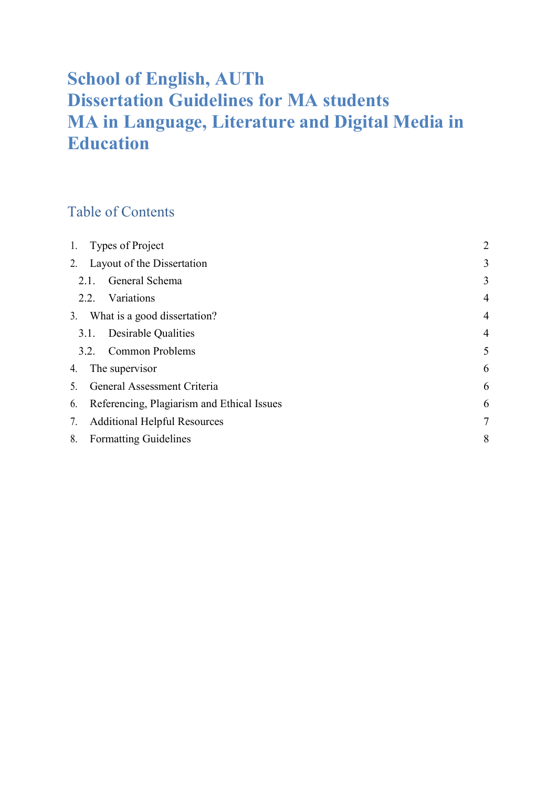# School of English, AUTh Dissertation Guidelines for MA students MA in Language, Literature and Digital Media in Education

## Table of Contents

| 1. | Types of Project                           | $\overline{2}$ |
|----|--------------------------------------------|----------------|
|    | 2. Layout of the Dissertation              | 3              |
|    | General Schema<br>2.1.                     | 3              |
|    | Variations<br>2.2.                         | $\overline{4}$ |
|    | 3. What is a good dissertation?            | $\overline{4}$ |
|    | Desirable Qualities<br>3.1.                | $\overline{4}$ |
|    | <b>Common Problems</b><br>3.2.             | 5              |
| 4. | The supervisor                             | 6              |
| 5. | General Assessment Criteria                | 6              |
| 6. | Referencing, Plagiarism and Ethical Issues | 6              |
| 7. | <b>Additional Helpful Resources</b>        | $\overline{7}$ |
| 8. | <b>Formatting Guidelines</b>               | 8              |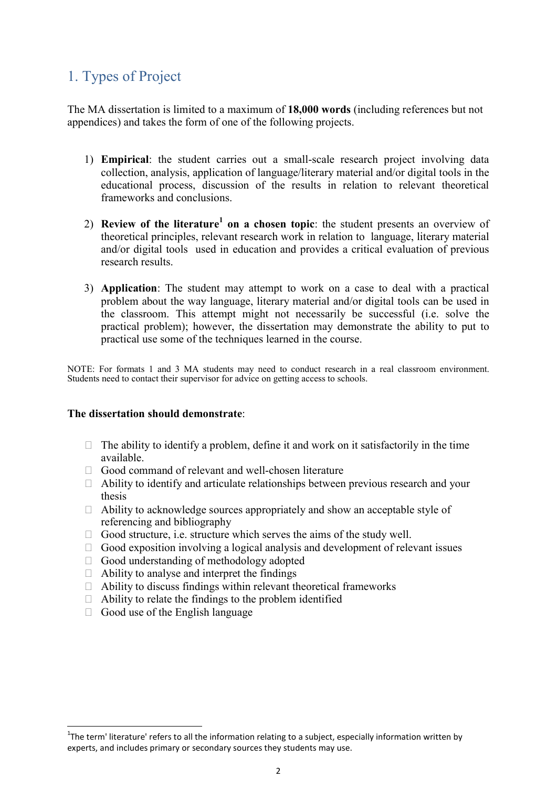## 1. Types of Project

The MA dissertation is limited to a maximum of 18,000 words (including references but not appendices) and takes the form of one of the following projects.

- 1) Empirical: the student carries out a small-scale research project involving data collection, analysis, application of language/literary material and/or digital tools in the educational process, discussion of the results in relation to relevant theoretical frameworks and conclusions.
- 2) Review of the literature<sup>1</sup> on a chosen topic: the student presents an overview of theoretical principles, relevant research work in relation to language, literary material and/or digital tools used in education and provides a critical evaluation of previous research results.
- 3) Application: The student may attempt to work on a case to deal with a practical problem about the way language, literary material and/or digital tools can be used in the classroom. This attempt might not necessarily be successful (i.e. solve the practical problem); however, the dissertation may demonstrate the ability to put to practical use some of the techniques learned in the course.

NOTE: For formats 1 and 3 MA students may need to conduct research in a real classroom environment. Students need to contact their supervisor for advice on getting access to schools.

#### The dissertation should demonstrate:

- $\Box$  The ability to identify a problem, define it and work on it satisfactorily in the time available.
- $\Box$  Good command of relevant and well-chosen literature
- $\Box$  Ability to identify and articulate relationships between previous research and your thesis
- $\Box$  Ability to acknowledge sources appropriately and show an acceptable style of referencing and bibliography
- $\Box$  Good structure, i.e. structure which serves the aims of the study well.
- $\Box$  Good exposition involving a logical analysis and development of relevant issues
- $\Box$  Good understanding of methodology adopted
- $\Box$  Ability to analyse and interpret the findings
- $\Box$  Ability to discuss findings within relevant theoretical frameworks
- $\Box$  Ability to relate the findings to the problem identified
- $\Box$  Good use of the English language

1

<sup>&</sup>lt;sup>1</sup>The term' literature' refers to all the information relating to a subject, especially information written by experts, and includes primary or secondary sources they students may use.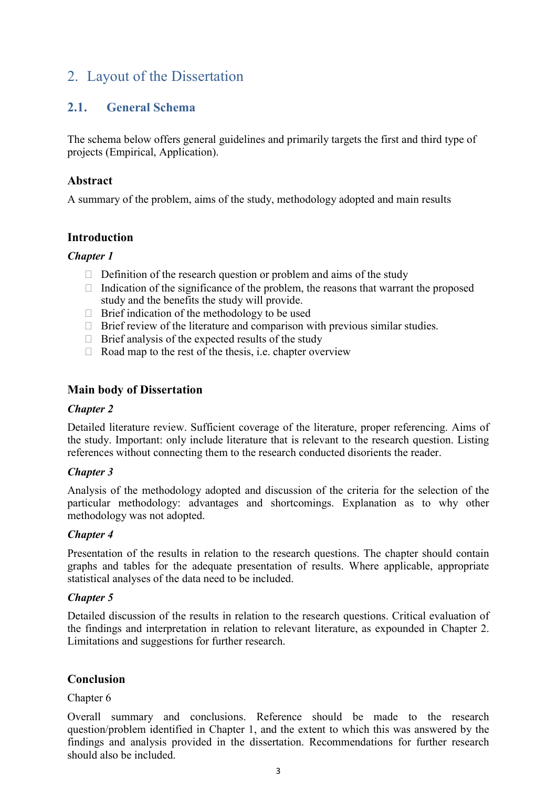## 2. Layout of the Dissertation

## 2.1. General Schema

The schema below offers general guidelines and primarily targets the first and third type of projects (Empirical, Application).

### Abstract

A summary of the problem, aims of the study, methodology adopted and main results

### **Introduction**

### Chapter 1

- $\Box$  Definition of the research question or problem and aims of the study
- $\Box$  Indication of the significance of the problem, the reasons that warrant the proposed study and the benefits the study will provide.
- $\Box$  Brief indication of the methodology to be used
- $\Box$  Brief review of the literature and comparison with previous similar studies.
- $\Box$  Brief analysis of the expected results of the study
- $\Box$  Road map to the rest of the thesis, i.e. chapter overview

#### Main body of Dissertation

#### Chapter 2

Detailed literature review. Sufficient coverage of the literature, proper referencing. Aims of the study. Important: only include literature that is relevant to the research question. Listing references without connecting them to the research conducted disorients the reader.

### Chapter 3

Analysis of the methodology adopted and discussion of the criteria for the selection of the particular methodology: advantages and shortcomings. Explanation as to why other methodology was not adopted.

### Chapter 4

Presentation of the results in relation to the research questions. The chapter should contain graphs and tables for the adequate presentation of results. Where applicable, appropriate statistical analyses of the data need to be included.

### Chapter 5

Detailed discussion of the results in relation to the research questions. Critical evaluation of the findings and interpretation in relation to relevant literature, as expounded in Chapter 2. Limitations and suggestions for further research.

### Conclusion

#### Chapter 6

Overall summary and conclusions. Reference should be made to the research question/problem identified in Chapter 1, and the extent to which this was answered by the findings and analysis provided in the dissertation. Recommendations for further research should also be included.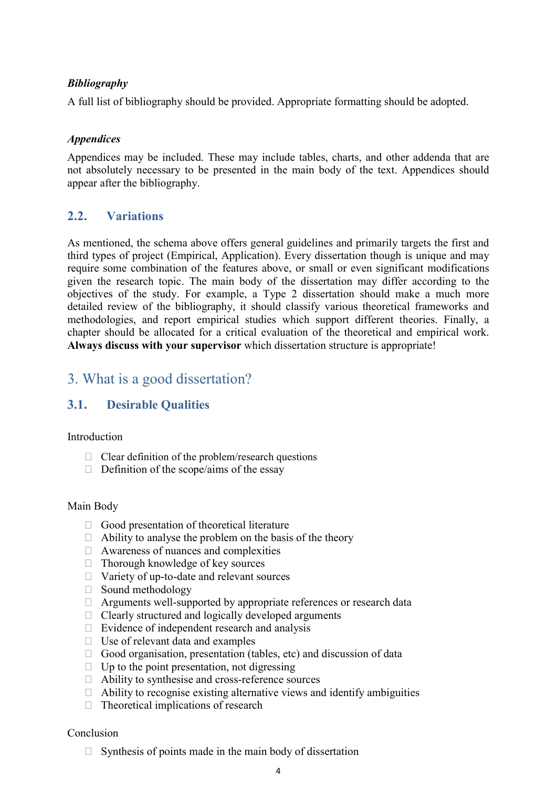#### Bibliography

A full list of bibliography should be provided. Appropriate formatting should be adopted.

#### Appendices

Appendices may be included. These may include tables, charts, and other addenda that are not absolutely necessary to be presented in the main body of the text. Appendices should appear after the bibliography.

### 2.2. Variations

As mentioned, the schema above offers general guidelines and primarily targets the first and third types of project (Empirical, Application). Every dissertation though is unique and may require some combination of the features above, or small or even significant modifications given the research topic. The main body of the dissertation may differ according to the objectives of the study. For example, a Type 2 dissertation should make a much more detailed review of the bibliography, it should classify various theoretical frameworks and methodologies, and report empirical studies which support different theories. Finally, a chapter should be allocated for a critical evaluation of the theoretical and empirical work. Always discuss with your supervisor which dissertation structure is appropriate!

## 3. What is a good dissertation?

## 3.1. Desirable Qualities

#### Introduction

- $\Box$  Clear definition of the problem/research questions
- $\Box$  Definition of the scope/aims of the essay

#### Main Body

- $\Box$  Good presentation of theoretical literature
- $\Box$  Ability to analyse the problem on the basis of the theory
- $\Box$  Awareness of nuances and complexities
- $\Box$  Thorough knowledge of key sources
- □ Variety of up-to-date and relevant sources
- $\Box$  Sound methodology
- $\Box$  Arguments well-supported by appropriate references or research data
- $\Box$  Clearly structured and logically developed arguments
- $\Box$  Evidence of independent research and analysis
- $\Box$  Use of relevant data and examples
- $\Box$  Good organisation, presentation (tables, etc) and discussion of data
- $\Box$  Up to the point presentation, not digressing
- $\Box$  Ability to synthesise and cross-reference sources
- $\Box$  Ability to recognise existing alternative views and identify ambiguities
- $\Box$  Theoretical implications of research

#### Conclusion

 $\Box$  Synthesis of points made in the main body of dissertation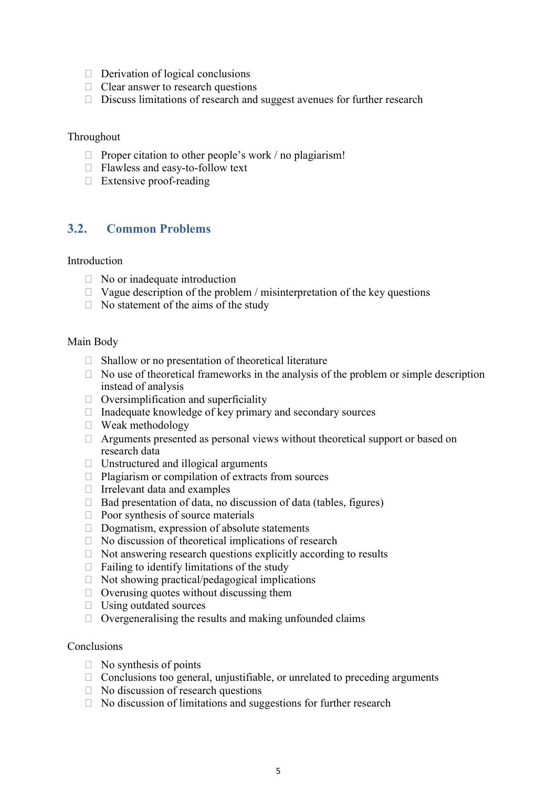- $\Box$  Derivation of logical conclusions
- $\Box$  Clear answer to research questions
- $\Box$  Discuss limitations of research and suggest avenues for further research

#### Throughout

- $\Box$  Proper citation to other people's work / no plagiarism!
- □ Flawless and easy-to-follow text
- □ Extensive proof-reading

#### 3.2. Common Problems

#### Introduction

- $\Box$  No or inadequate introduction
- $\Box$  Vague description of the problem / misinterpretation of the key questions
- $\Box$  No statement of the aims of the study

#### Main Body

- $\Box$  Shallow or no presentation of theoretical literature
- $\Box$  No use of theoretical frameworks in the analysis of the problem or simple description instead of analysis
- $\Box$  Oversimplification and superficiality
- $\Box$  Inadequate knowledge of key primary and secondary sources
- Weak methodology
- $\Box$  Arguments presented as personal views without theoretical support or based on research data
- $\Box$  Unstructured and illogical arguments
- $\Box$  Plagiarism or compilation of extracts from sources
- $\Box$  Irrelevant data and examples
- $\Box$  Bad presentation of data, no discussion of data (tables, figures)
- $\Box$  Poor synthesis of source materials
- $\Box$  Dogmatism, expression of absolute statements
- $\Box$  No discussion of theoretical implications of research
- $\Box$  Not answering research questions explicitly according to results
- $\Box$  Failing to identify limitations of the study
- $\Box$  Not showing practical/pedagogical implications
- $\Box$  Overusing quotes without discussing them
- $\Box$  Using outdated sources
- $\Box$  Overgeneralising the results and making unfounded claims

#### Conclusions

- $\Box$  No synthesis of points
- $\Box$  Conclusions too general, unjustifiable, or unrelated to preceding arguments
- $\Box$  No discussion of research questions
- $\Box$  No discussion of limitations and suggestions for further research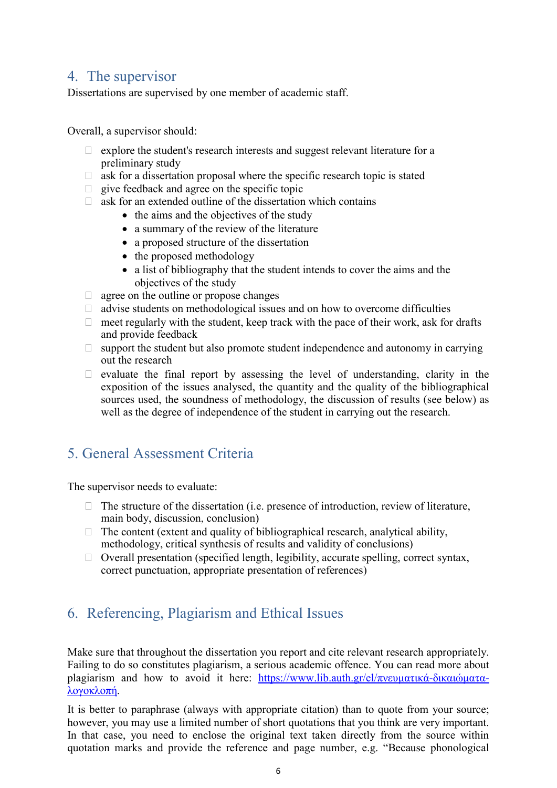## 4. The supervisor

Dissertations are supervised by one member of academic staff.

Overall, a supervisor should:

- $\Box$  explore the student's research interests and suggest relevant literature for a preliminary study
- $\Box$  ask for a dissertation proposal where the specific research topic is stated
- $\Box$  give feedback and agree on the specific topic
- $\Box$  ask for an extended outline of the dissertation which contains
	- the aims and the objectives of the study
	- a summary of the review of the literature
	- a proposed structure of the dissertation
	- the proposed methodology
	- a list of bibliography that the student intends to cover the aims and the objectives of the study
- $\Box$  agree on the outline or propose changes
- $\Box$  advise students on methodological issues and on how to overcome difficulties
- $\Box$  meet regularly with the student, keep track with the pace of their work, ask for drafts and provide feedback
- $\Box$  support the student but also promote student independence and autonomy in carrying out the research
- $\Box$  evaluate the final report by assessing the level of understanding, clarity in the exposition of the issues analysed, the quantity and the quality of the bibliographical sources used, the soundness of methodology, the discussion of results (see below) as well as the degree of independence of the student in carrying out the research.

## 5. General Assessment Criteria

The supervisor needs to evaluate:

- $\Box$  The structure of the dissertation (i.e. presence of introduction, review of literature, main body, discussion, conclusion)
- $\Box$  The content (extent and quality of bibliographical research, analytical ability, methodology, critical synthesis of results and validity of conclusions)
- $\Box$  Overall presentation (specified length, legibility, accurate spelling, correct syntax, correct punctuation, appropriate presentation of references)

## 6. Referencing, Plagiarism and Ethical Issues

Make sure that throughout the dissertation you report and cite relevant research appropriately. Failing to do so constitutes plagiarism, a serious academic offence. You can read more about plagiarism and how to avoid it here: https://www.lib.auth.gr/el/πνευματικά-δικαιώματαλογοκλοπή.

It is better to paraphrase (always with appropriate citation) than to quote from your source; however, you may use a limited number of short quotations that you think are very important. In that case, you need to enclose the original text taken directly from the source within quotation marks and provide the reference and page number, e.g. "Because phonological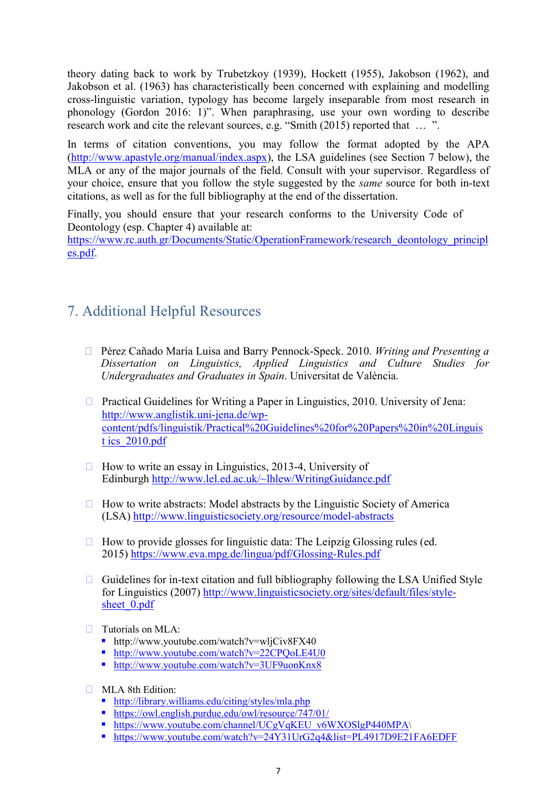theory dating back to work by Trubetzkoy (1939), Hockett (1955), Jakobson (1962), and Jakobson et al. (1963) has characteristically been concerned with explaining and modelling cross-linguistic variation, typology has become largely inseparable from most research in phonology (Gordon 2016: 1)". When paraphrasing, use your own wording to describe research work and cite the relevant sources, e.g. "Smith (2015) reported that … ".

In terms of citation conventions, you may follow the format adopted by the APA (http://www.apastyle.org/manual/index.aspx), the LSA guidelines (see Section 7 below), the MLA or any of the major journals of the field. Consult with your supervisor. Regardless of your choice, ensure that you follow the style suggested by the same source for both in-text citations, as well as for the full bibliography at the end of the dissertation.

Finally, you should ensure that your research conforms to the University Code of Deontology (esp. Chapter 4) available at:

https://www.rc.auth.gr/Documents/Static/OperationFramework/research\_deontology\_principl es.pdf.

## 7. Additional Helpful Resources

- $\Box$  Pérez Cañado María Luisa and Barry Pennock-Speck. 2010. *Writing and Presenting a* Dissertation on Linguistics, Applied Linguistics and Culture Studies for Undergraduates and Graduates in Spain. Universitat de València.
- $\Box$  Practical Guidelines for Writing a Paper in Linguistics, 2010. University of Jena: http://www.anglistik.uni-jena.de/wpcontent/pdfs/linguistik/Practical%20Guidelines%20for%20Papers%20in%20Linguis t ics\_2010.pdf
- $\Box$  How to write an essay in Linguistics, 2013-4, University of Edinburgh http://www.lel.ed.ac.uk/~lhlew/WritingGuidance.pdf
- $\Box$  How to write abstracts: Model abstracts by the Linguistic Society of America (LSA) http://www.linguisticsociety.org/resource/model-abstracts
- $\Box$  How to provide glosses for linguistic data: The Leipzig Glossing rules (ed. 2015) https://www.eva.mpg.de/lingua/pdf/Glossing-Rules.pdf
- $\Box$  Guidelines for in-text citation and full bibliography following the LSA Unified Style for Linguistics (2007) http://www.linguisticsociety.org/sites/default/files/stylesheet 0.pdf
- Tutorials on MLA:
	- $\blacksquare$  http://www.youtube.com/watch?v=wljCiv8FX40
	- http://www.youtube.com/watch?v=22CPQoLE4U0
	- http://www.youtube.com/watch?v=3UF9uonKnx8
- **MLA 8th Edition:** 
	- http://library.williams.edu/citing/styles/mla.php
	- https://owl.english.purdue.edu/owl/resource/747/01/
	- https://www.youtube.com/channel/UCgVqKEU\_v6WXOSlgP440MPA\
	- $\bullet$  https://www.youtube.com/watch?v=24Y31UrG2q4&list=PL4917D9E21FA6EDFF